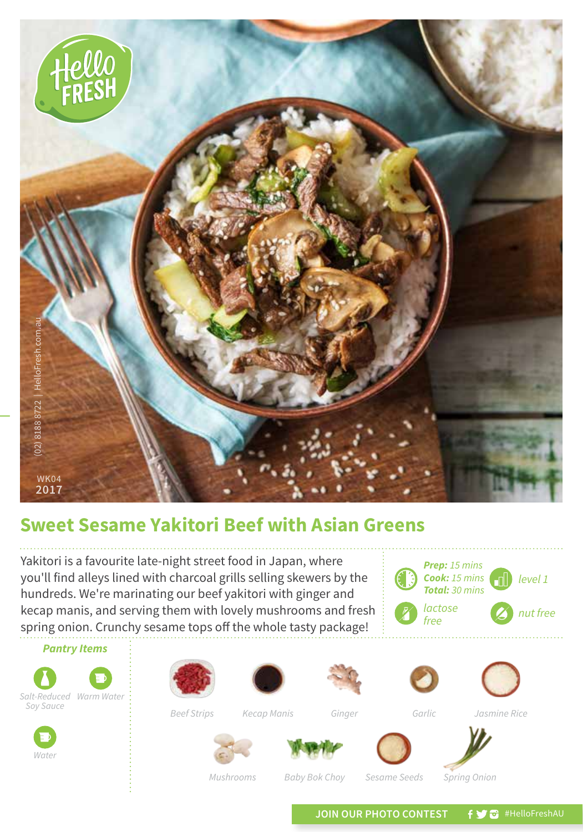

## **Sweet Sesame Yakitori Beef with Asian Greens**

Yakitori is a favourite late-night street food in Japan, where you'll find alleys lined with charcoal grills selling skewers by the hundreds. We're marinating our beef yakitori with ginger and kecap manis, and serving them with lovely mushrooms and fresh spring onion. Crunchy sesame tops off the whole tasty package!





*Mushrooms Baby Bok Choy Sesame Seeds Spring Onion*

JOIN OUR PHOTO CONTEST **f y** a #HelloFreshAU